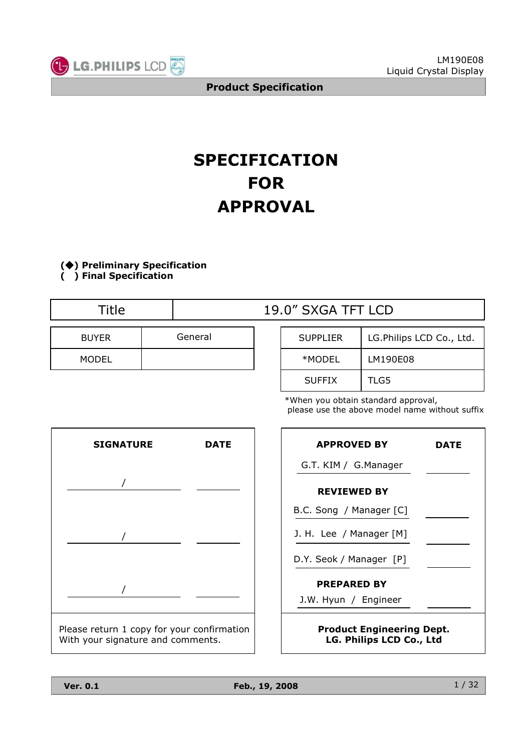

# **SPECIFICATION FOR APPROVAL**

**() Preliminary Specification**

**( ) Final Specification**

| Title        |         |  | 19.0" SXGA TFT LCD |       |  |  |
|--------------|---------|--|--------------------|-------|--|--|
| <b>BUYER</b> | General |  | <b>SUPPLIER</b>    | LG.Ph |  |  |
| <b>MODEL</b> |         |  | *MODEL             | LM19  |  |  |

| SUPPLIER      | LG.Philips LCD Co., Ltd. |
|---------------|--------------------------|
| *MODEL        | LM190E08                 |
| <b>SUFFIX</b> | TLG5                     |

\*When you obtain standard approval, please use the above model name without suffix



| <b>APPROVED BY</b>                                           | DATE |  |  |  |  |
|--------------------------------------------------------------|------|--|--|--|--|
| G.T. KIM / G.Manager                                         |      |  |  |  |  |
| <b>REVIEWED BY</b>                                           |      |  |  |  |  |
| B.C. Song / Manager [C]                                      |      |  |  |  |  |
| J. H. Lee / Manager [M]                                      |      |  |  |  |  |
| D.Y. Seok / Manager [P]                                      |      |  |  |  |  |
| <b>PREPARED BY</b>                                           |      |  |  |  |  |
| J.W. Hyun / Engineer                                         |      |  |  |  |  |
| <b>Product Engineering Dept.</b><br>LG. Philips LCD Co., Ltd |      |  |  |  |  |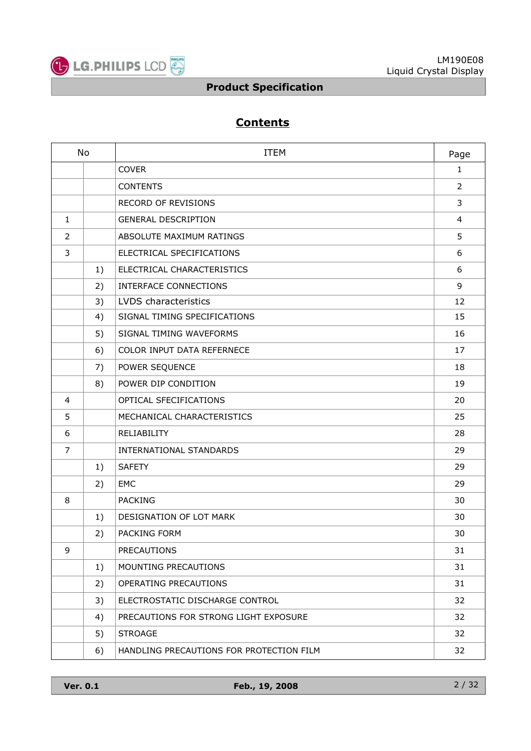

## **Contents**

| No             |    | <b>ITEM</b>                              | Page           |
|----------------|----|------------------------------------------|----------------|
|                |    | <b>COVER</b>                             | 1              |
|                |    | <b>CONTENTS</b>                          | $\overline{2}$ |
|                |    | <b>RECORD OF REVISIONS</b>               | 3              |
| $\mathbf{1}$   |    | <b>GENERAL DESCRIPTION</b>               | $\overline{4}$ |
| $\overline{2}$ |    | ABSOLUTE MAXIMUM RATINGS                 | 5              |
| 3              |    | ELECTRICAL SPECIFICATIONS                | 6              |
|                | 1) | ELECTRICAL CHARACTERISTICS               | 6              |
|                | 2) | INTERFACE CONNECTIONS                    | 9              |
|                | 3) | LVDS characteristics                     | 12             |
|                | 4) | SIGNAL TIMING SPECIFICATIONS             | 15             |
|                | 5) | SIGNAL TIMING WAVEFORMS                  | 16             |
|                | 6) | COLOR INPUT DATA REFERNECE               | 17             |
|                | 7) | POWER SEQUENCE                           | 18             |
|                | 8) | POWER DIP CONDITION                      | 19             |
| 4              |    | OPTICAL SFECIFICATIONS                   | 20             |
| 5              |    | MECHANICAL CHARACTERISTICS               | 25             |
| 6              |    | RELIABILITY                              | 28             |
| $\overline{7}$ |    | INTERNATIONAL STANDARDS                  | 29             |
|                | 1) | <b>SAFETY</b>                            | 29             |
|                | 2) | EMC                                      | 29             |
| 8              |    | <b>PACKING</b>                           | 30             |
|                | 1) | DESIGNATION OF LOT MARK                  | 30             |
|                | 2) | PACKING FORM                             | 30             |
| 9              |    | <b>PRECAUTIONS</b>                       | 31             |
|                | 1) | MOUNTING PRECAUTIONS                     | 31             |
|                | 2) | OPERATING PRECAUTIONS                    | 31             |
|                | 3) | ELECTROSTATIC DISCHARGE CONTROL          | 32             |
|                | 4) | PRECAUTIONS FOR STRONG LIGHT EXPOSURE    | 32             |
|                | 5) | <b>STROAGE</b>                           | 32             |
|                | 6) | HANDLING PRECAUTIONS FOR PROTECTION FILM | 32             |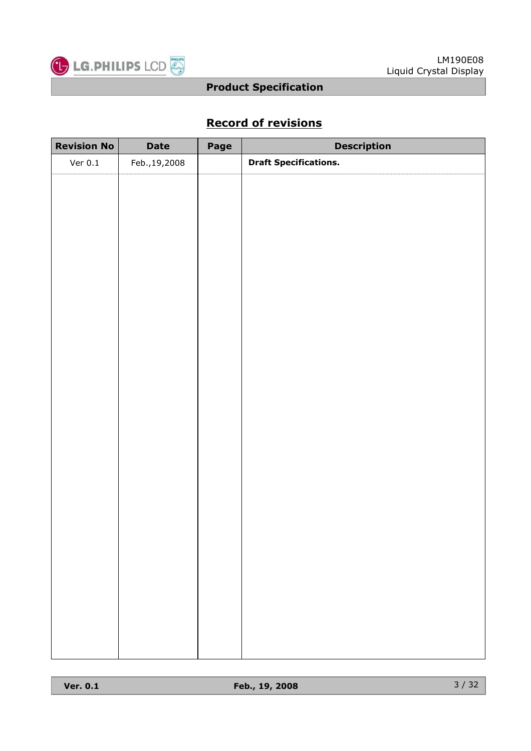

## **Record of revisions**

| <b>Revision No</b> | <b>Date</b>    | Page | <b>Description</b>           |
|--------------------|----------------|------|------------------------------|
| Ver $0.1$          | Feb., 19, 2008 |      | <b>Draft Specifications.</b> |
|                    |                |      |                              |
|                    |                |      |                              |
|                    |                |      |                              |
|                    |                |      |                              |
|                    |                |      |                              |
|                    |                |      |                              |
|                    |                |      |                              |
|                    |                |      |                              |
|                    |                |      |                              |
|                    |                |      |                              |
|                    |                |      |                              |
|                    |                |      |                              |
|                    |                |      |                              |
|                    |                |      |                              |
|                    |                |      |                              |
|                    |                |      |                              |
|                    |                |      |                              |
|                    |                |      |                              |
|                    |                |      |                              |
|                    |                |      |                              |
|                    |                |      |                              |
|                    |                |      |                              |
|                    |                |      |                              |
|                    |                |      |                              |
|                    |                |      |                              |
|                    |                |      |                              |
|                    |                |      |                              |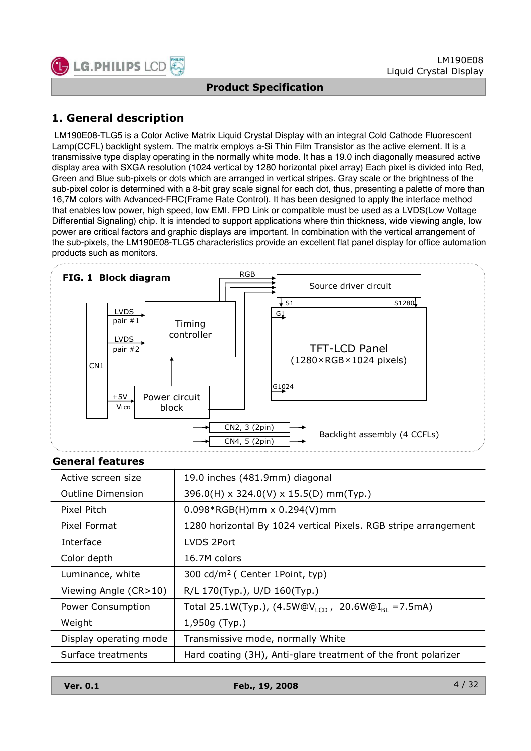

## **1. General description**

LM190E08-TLG5 is a Color Active Matrix Liquid Crystal Display with an integral Cold Cathode Fluorescent Lamp(CCFL) backlight system. The matrix employs a-Si Thin Film Transistor as the active element. It is a transmissive type display operating in the normally white mode. It has a 19.0 inch diagonally measured active display area with SXGA resolution (1024 vertical by 1280 horizontal pixel array) Each pixel is divided into Red, Green and Blue sub-pixels or dots which are arranged in vertical stripes. Gray scale or the brightness of the sub-pixel color is determined with a 8-bit gray scale signal for each dot, thus, presenting a palette of more than 16,7M colors with Advanced-FRC(Frame Rate Control). It has been designed to apply the interface method that enables low power, high speed, low EMI. FPD Link or compatible must be used as a LVDS(Low Voltage Differential Signaling) chip. It is intended to support applications where thin thickness, wide viewing angle, low power are critical factors and graphic displays are important. In combination with the vertical arrangement of the sub-pixels, the LM190E08-TLG5 characteristics provide an excellent flat panel display for office automation products such as monitors.



#### **General features**

| Active screen size       | 19.0 inches (481.9mm) diagonal                                        |
|--------------------------|-----------------------------------------------------------------------|
| <b>Outline Dimension</b> | 396.0(H) x 324.0(V) x 15.5(D) mm(Typ.)                                |
| Pixel Pitch              | $0.098*RGB(H)$ mm x $0.294(V)$ mm                                     |
| Pixel Format             | 1280 horizontal By 1024 vertical Pixels. RGB stripe arrangement       |
| Interface                | LVDS 2Port                                                            |
| Color depth              | 16.7M colors                                                          |
| Luminance, white         | 300 cd/m <sup>2</sup> ( Center 1Point, typ)                           |
| Viewing Angle (CR>10)    | R/L 170(Typ.), U/D 160(Typ.)                                          |
| Power Consumption        | Total 25.1W(Typ.), $(4.5W@V_{ICD}$ ,<br>20.6W@I <sub>BI</sub> =7.5mA) |
| Weight                   | 1,950g (Typ.)                                                         |
| Display operating mode   | Transmissive mode, normally White                                     |
| Surface treatments       | Hard coating (3H), Anti-glare treatment of the front polarizer        |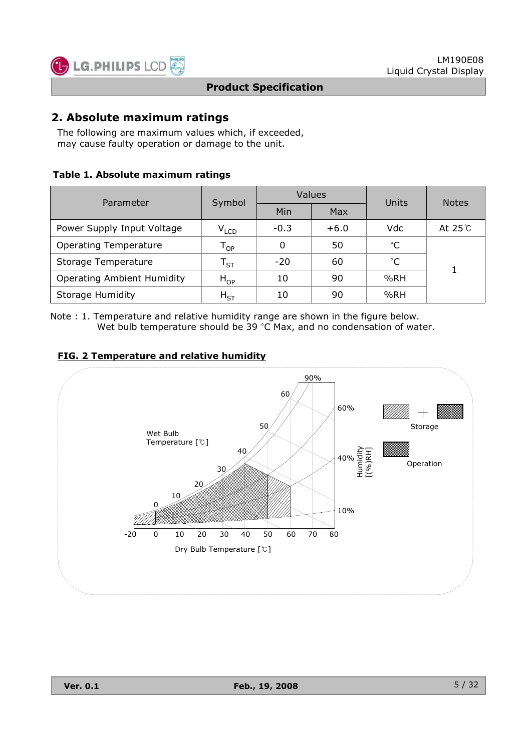

### **2. Absolute maximum ratings**

The following are maximum values which, if exceeded, may cause faulty operation or damage to the unit.

#### **Table 1. Absolute maximum ratings**

| Parameter                         | Symbol                      |        | Values     | Units        | <b>Notes</b>  |  |
|-----------------------------------|-----------------------------|--------|------------|--------------|---------------|--|
|                                   |                             | Min    | <b>Max</b> |              |               |  |
| Power Supply Input Voltage        | $\mathsf{V}_{\mathsf{LCD}}$ | $-0.3$ | $+6.0$     | Vdc          | At $25^\circ$ |  |
| <b>Operating Temperature</b>      | $\mathsf{T}_{\mathsf{OP}}$  | 0      | 50         | $^{\circ}$ C |               |  |
| Storage Temperature               | $\mathsf{T}_{\mathsf{ST}}$  | $-20$  | 60         | $^{\circ}$ C |               |  |
| <b>Operating Ambient Humidity</b> | $H_{OP}$                    | 10     | 90         | %RH          |               |  |
| <b>Storage Humidity</b>           | $H_{ST}$                    | 10     | 90         | %RH          |               |  |

Note : 1. Temperature and relative humidity range are shown in the figure below. Wet bulb temperature should be 39  $^{\circ}$ C Max, and no condensation of water.

#### **FIG. 2 Temperature and relative humidity**

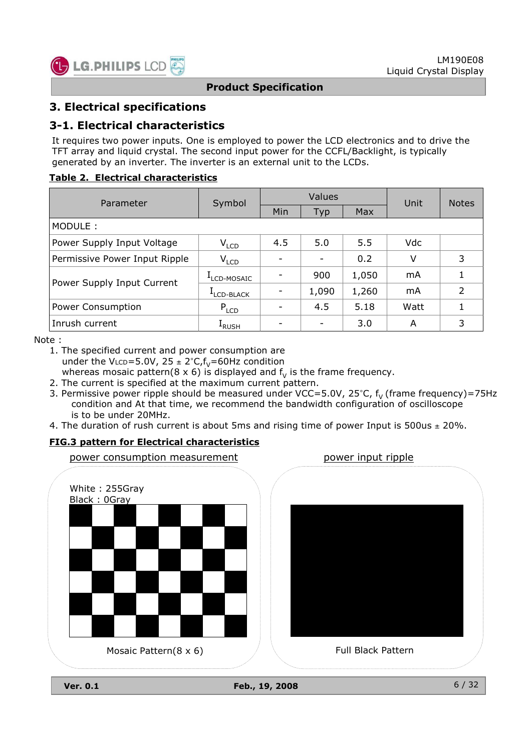

## **3. Electrical specifications**

### **3-1. Electrical characteristics**

It requires two power inputs. One is employed to power the LCD electronics and to drive the TFT array and liquid crystal. The second input power for the CCFL/Backlight, is typically generated by an inverter. The inverter is an external unit to the LCDs.

#### **Table 2. Electrical characteristics**

| Parameter                     | Symbol            |     | Values | Unit  | <b>Notes</b> |   |
|-------------------------------|-------------------|-----|--------|-------|--------------|---|
|                               |                   | Min | Typ    | Max   |              |   |
| MODULE:                       |                   |     |        |       |              |   |
| Power Supply Input Voltage    | $V_{LCD}$         | 4.5 | 5.0    | 5.5   | Vdc          |   |
| Permissive Power Input Ripple | $V_{LCD}$         |     |        | 0.2   | V            | 3 |
|                               | LCD-MOSAIC        |     | 900    | 1,050 | mA           |   |
| Power Supply Input Current    | LCD-BLACK         |     | 1,090  | 1,260 | mA           | 2 |
| Power Consumption             | $P_{LCD}$         |     | 4.5    | 5.18  | Watt         |   |
| Inrush current                | <sup>1</sup> RUSH |     |        | 3.0   | A            | 3 |

Note :

1. The specified current and power consumption are under the VLCD=5.0V,  $25 \pm 2^{\circ}C$ ,  $f_V$ =60Hz condition whereas mosaic pattern( $8 \times 6$ ) is displayed and  $f<sub>v</sub>$  is the frame frequency.

- 2. The current is specified at the maximum current pattern.
- 3. Permissive power ripple should be measured under VCC=5.0V, 25°C,  $f_v$  (frame frequency)=75Hz condition and At that time, we recommend the bandwidth configuration of oscilloscope is to be under 20MHz.
- 4. The duration of rush current is about 5ms and rising time of power Input is 500us  $\pm$  20%.

#### **FIG.3 pattern for Electrical characteristics**



**Ver. 0.1 Feb., 19, 2008**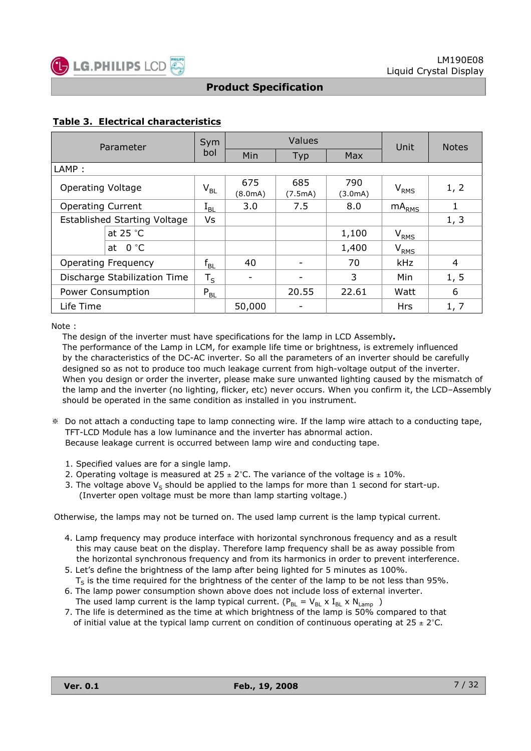

#### **Table 3. Electrical characteristics**

| Parameter                           | Sym          | Values         |                |                | Unit             | <b>Notes</b> |
|-------------------------------------|--------------|----------------|----------------|----------------|------------------|--------------|
|                                     | bol          | Min            | Typ            | <b>Max</b>     |                  |              |
| LAMP:                               |              |                |                |                |                  |              |
| <b>Operating Voltage</b>            | $V_{BL}$     | 675<br>(8.0mA) | 685<br>(7.5mA) | 790<br>(3.0mA) | $V_{RMS}$        | 1, 2         |
| <b>Operating Current</b>            | $\rm I_{BL}$ | 3.0            | 7.5            | 8.0            | $mA_{RMS}$       | 1            |
| <b>Established Starting Voltage</b> | Vs           |                |                |                |                  | 1, 3         |
| at $25 °C$                          |              |                |                | 1,100          | $V_{RMS}$        |              |
| at $0 °C$                           |              |                |                | 1,400          | V <sub>RMS</sub> |              |
| <b>Operating Frequency</b>          | $f_{BL}$     | 40             |                | 70             | kHz              | 4            |
| Discharge Stabilization Time        | $T_S$        | -              |                | 3              | Min              | 1, 5         |
| Power Consumption                   | $P_{BL}$     |                | 20.55          | 22.61          | Watt             | 6            |
| Life Time                           |              | 50,000         |                |                | <b>Hrs</b>       | 1, 7         |

Note :

The design of the inverter must have specifications for the lamp in LCD Assembly**.** The performance of the Lamp in LCM, for example life time or brightness, is extremely influenced by the characteristics of the DC-AC inverter. So all the parameters of an inverter should be carefully designed so as not to produce too much leakage current from high-voltage output of the inverter. When you design or order the inverter, please make sure unwanted lighting caused by the mismatch of the lamp and the inverter (no lighting, flicker, etc) never occurs. When you confirm it, the LCD–Assembly should be operated in the same condition as installed in you instrument.

- Do not attach a conducting tape to lamp connecting wire. If the lamp wire attach to a conducting tape, TFT-LCD Module has a low luminance and the inverter has abnormal action. Because leakage current is occurred between lamp wire and conducting tape.
	- 1. Specified values are for a single lamp.
	- 2. Operating voltage is measured at  $25 \pm 2^{\circ}$ C. The variance of the voltage is  $\pm 10\%$ .
	- 3. The voltage above  $V_s$  should be applied to the lamps for more than 1 second for start-up. (Inverter open voltage must be more than lamp starting voltage.)

Otherwise, the lamps may not be turned on. The used lamp current is the lamp typical current.

- 4. Lamp frequency may produce interface with horizontal synchronous frequency and as a result this may cause beat on the display. Therefore lamp frequency shall be as away possible from the horizontal synchronous frequency and from its harmonics in order to prevent interference.
- 5. Let's define the brightness of the lamp after being lighted for 5 minutes as 100%.  $T<sub>S</sub>$  is the time required for the brightness of the center of the lamp to be not less than 95%.
- 6. The lamp power consumption shown above does not include loss of external inverter. The used lamp current is the lamp typical current. ( $P_{BL} = V_{BL} \times I_{BL} \times N_{Lamp}$ )
- 7. The life is determined as the time at which brightness of the lamp is 50% compared to that of initial value at the typical lamp current on condition of continuous operating at  $25 \pm 2^{\circ}$ C.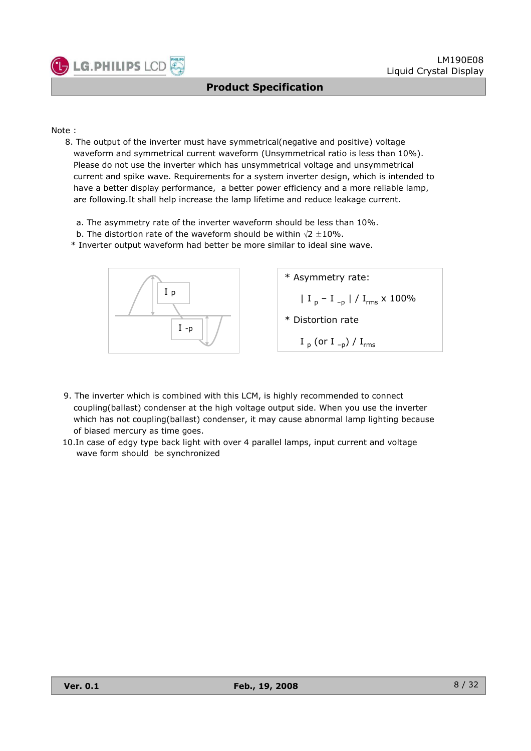

Note :

- 8. The output of the inverter must have symmetrical(negative and positive) voltage waveform and symmetrical current waveform (Unsymmetrical ratio is less than 10%). Please do not use the inverter which has unsymmetrical voltage and unsymmetrical current and spike wave. Requirements for a system inverter design, which is intended to have a better display performance, a better power efficiency and a more reliable lamp, are following.It shall help increase the lamp lifetime and reduce leakage current.
	- a. The asymmetry rate of the inverter waveform should be less than 10%.
	- b. The distortion rate of the waveform should be within  $\sqrt{2} \pm 10\%$ .
	- \* Inverter output waveform had better be more similar to ideal sine wave.



- 9. The inverter which is combined with this LCM, is highly recommended to connect coupling(ballast) condenser at the high voltage output side. When you use the inverter which has not coupling(ballast) condenser, it may cause abnormal lamp lighting because of biased mercury as time goes.
- 10.In case of edgy type back light with over 4 parallel lamps, input current and voltage wave form should be synchronized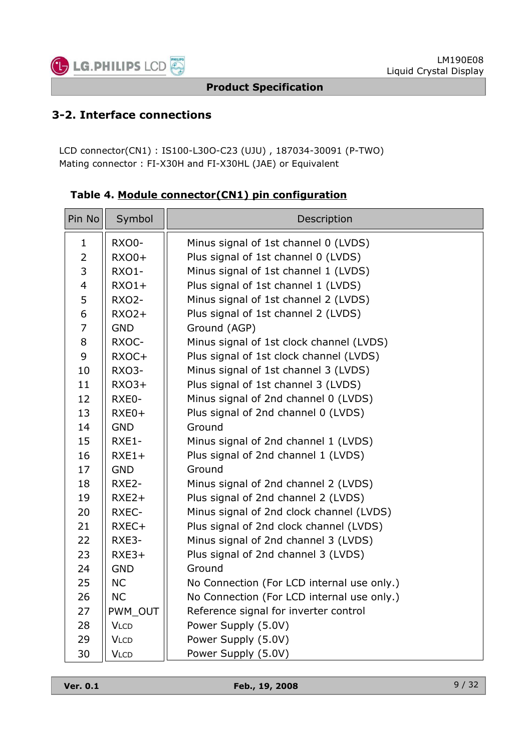

## **3-2. Interface connections**

LCD connector(CN1) : IS100-L30O-C23 (UJU) , 187034-30091 (P-TWO) Mating connector : FI-X30H and FI-X30HL (JAE) or Equivalent

| Pin No         | Symbol       | Description                                |  |  |
|----------------|--------------|--------------------------------------------|--|--|
| $\mathbf 1$    | RXO0-        | Minus signal of 1st channel 0 (LVDS)       |  |  |
| $\overline{2}$ | <b>RXO0+</b> | Plus signal of 1st channel 0 (LVDS)        |  |  |
| 3              | RXO1-        | Minus signal of 1st channel 1 (LVDS)       |  |  |
| $\overline{4}$ | $RXO1+$      | Plus signal of 1st channel 1 (LVDS)        |  |  |
| 5              | <b>RXO2-</b> | Minus signal of 1st channel 2 (LVDS)       |  |  |
| 6              | $RXO2+$      | Plus signal of 1st channel 2 (LVDS)        |  |  |
| $\overline{7}$ | <b>GND</b>   | Ground (AGP)                               |  |  |
| 8              | RXOC-        | Minus signal of 1st clock channel (LVDS)   |  |  |
| 9              | RXOC+        | Plus signal of 1st clock channel (LVDS)    |  |  |
| 10             | RXO3-        | Minus signal of 1st channel 3 (LVDS)       |  |  |
| 11             | $RXO3+$      | Plus signal of 1st channel 3 (LVDS)        |  |  |
| 12             | RXE0-        | Minus signal of 2nd channel 0 (LVDS)       |  |  |
| 13             | $RXE0+$      | Plus signal of 2nd channel 0 (LVDS)        |  |  |
| 14             | <b>GND</b>   | Ground                                     |  |  |
| 15             | RXE1-        | Minus signal of 2nd channel 1 (LVDS)       |  |  |
| 16             | $RXE1+$      | Plus signal of 2nd channel 1 (LVDS)        |  |  |
| 17             | <b>GND</b>   | Ground                                     |  |  |
| 18             | RXE2-        | Minus signal of 2nd channel 2 (LVDS)       |  |  |
| 19             | $RXE2+$      | Plus signal of 2nd channel 2 (LVDS)        |  |  |
| 20             | RXEC-        | Minus signal of 2nd clock channel (LVDS)   |  |  |
| 21             | RXEC+        | Plus signal of 2nd clock channel (LVDS)    |  |  |
| 22             | RXE3-        | Minus signal of 2nd channel 3 (LVDS)       |  |  |
| 23             | $RXE3+$      | Plus signal of 2nd channel 3 (LVDS)        |  |  |
| 24             | <b>GND</b>   | Ground                                     |  |  |
| 25             | <b>NC</b>    | No Connection (For LCD internal use only.) |  |  |
| 26             | <b>NC</b>    | No Connection (For LCD internal use only.) |  |  |
| 27             | PWM OUT      | Reference signal for inverter control      |  |  |
| 28             | <b>VLCD</b>  | Power Supply (5.0V)                        |  |  |
| 29             | <b>VLCD</b>  | Power Supply (5.0V)                        |  |  |
| 30             | <b>VLCD</b>  | Power Supply (5.0V)                        |  |  |

**Table 4. Module connector(CN1) pin configuration**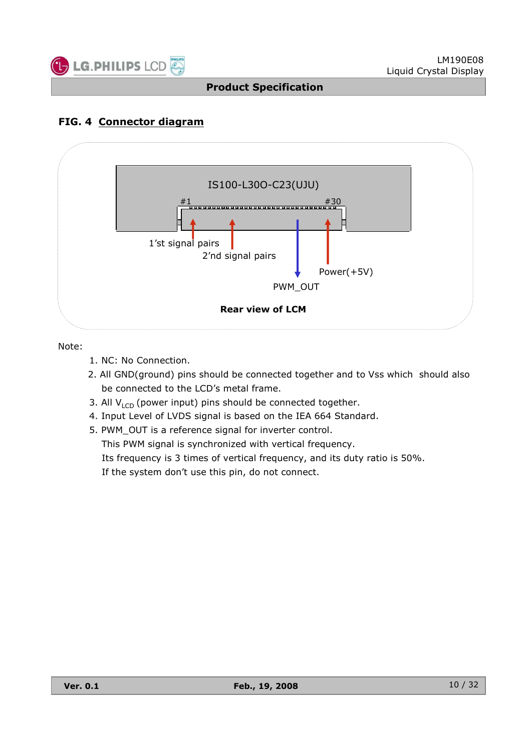

## **FIG. 4 Connector diagram**



Note:

- 1. NC: No Connection.
- 2. All GND(ground) pins should be connected together and to Vss which should also be connected to the LCD's metal frame.
- 3. All  $V_{\text{LCD}}$  (power input) pins should be connected together.
- 4. Input Level of LVDS signal is based on the IEA 664 Standard.
- 5. PWM\_OUT is a reference signal for inverter control. This PWM signal is synchronized with vertical frequency. Its frequency is 3 times of vertical frequency, and its duty ratio is 50%. If the system don't use this pin, do not connect.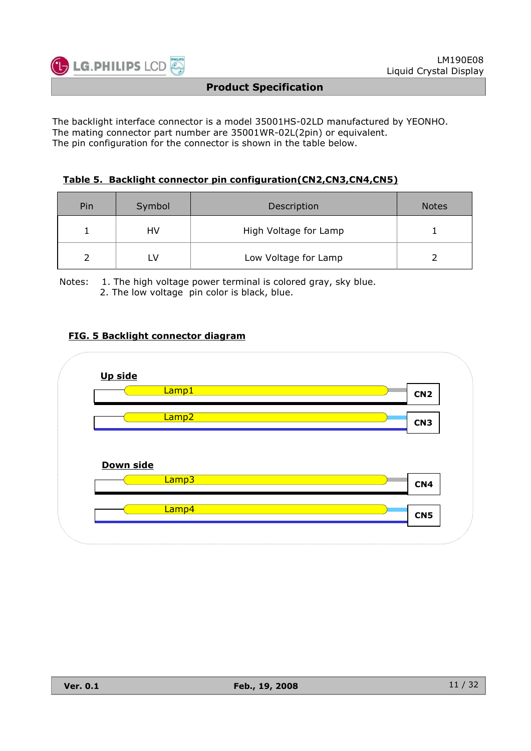

The backlight interface connector is a model 35001HS-02LD manufactured by YEONHO. The mating connector part number are 35001WR-02L(2pin) or equivalent. The pin configuration for the connector is shown in the table below.

#### **Table 5. Backlight connector pin configuration(CN2,CN3,CN4,CN5)**

| Pin | Symbol | Description           | <b>Notes</b> |
|-----|--------|-----------------------|--------------|
|     | HV     | High Voltage for Lamp |              |
|     |        | Low Voltage for Lamp  |              |

Notes: 1. The high voltage power terminal is colored gray, sky blue. 2. The low voltage pin color is black, blue.

#### **FIG. 5 Backlight connector diagram**

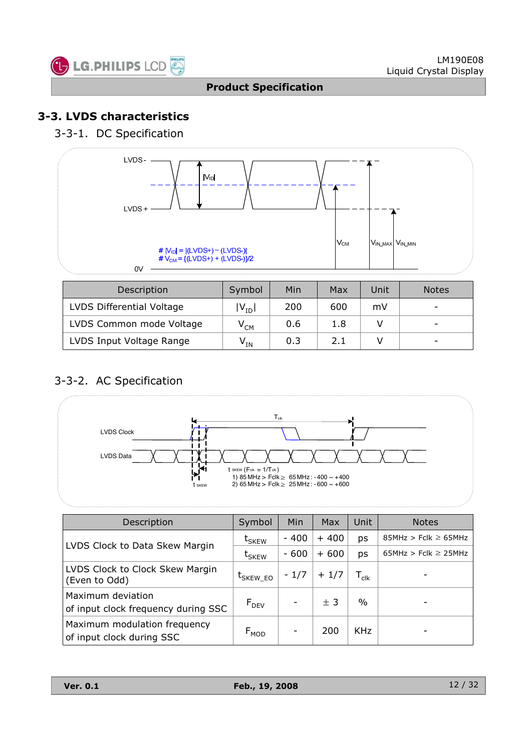

## **3-3. LVDS characteristics**

## 3-3-1. DC Specification



| Description               | Symbol                     | Min | Max | Unit | <b>Notes</b>             |
|---------------------------|----------------------------|-----|-----|------|--------------------------|
| LVDS Differential Voltage | $ V_{ID} $                 | 200 | 600 | mV   |                          |
| LVDS Common mode Voltage  | $\mathsf{V}_{\mathsf{CM}}$ | 0.6 | 1.8 |      | -                        |
| LVDS Input Voltage Range  | $\mathsf{V}_{\mathsf{IN}}$ | 0.3 | 2.1 |      | $\overline{\phantom{a}}$ |

## 3-3-2. AC Specification



| Description                                               | Symbol        | Min    | Max    | Unit                        | <b>Notes</b>             |
|-----------------------------------------------------------|---------------|--------|--------|-----------------------------|--------------------------|
| LVDS Clock to Data Skew Margin                            | $t_{SKEW}$    | $-400$ | $+400$ | ps                          | $85MHz > Fclk \ge 65MHz$ |
|                                                           | $t_{SKEW}$    | $-600$ | $+600$ | ps                          | $65MHz > Fclk \ge 25MHz$ |
| LVDS Clock to Clock Skew Margin<br>(Even to Odd)          | $t_{SKEW_EO}$ | $-1/7$ | $+1/7$ | $\mathsf{T}_{\mathsf{clk}}$ |                          |
| Maximum deviation<br>of input clock frequency during SSC  | $F_{DEV}$     | -      | ± 3    | $\%$                        |                          |
| Maximum modulation frequency<br>of input clock during SSC | $F_{MOD}$     |        | 200    | <b>KHz</b>                  |                          |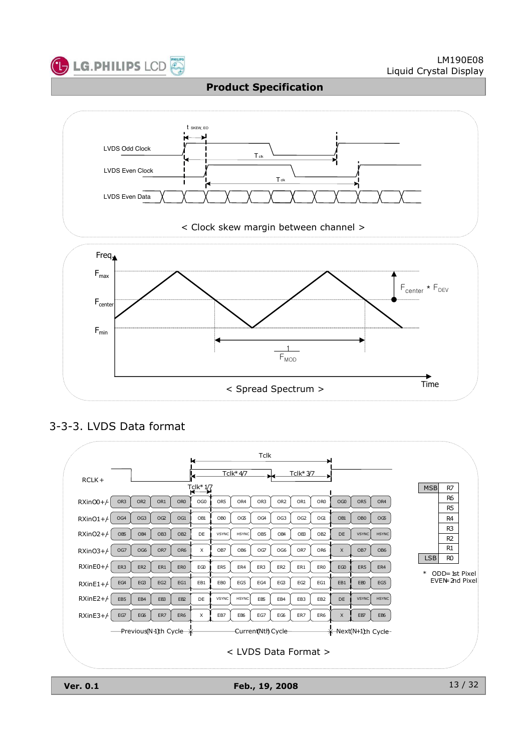



## 3-3-3. LVDS Data format



**Ver. 0.1 Feb., 19, 2008**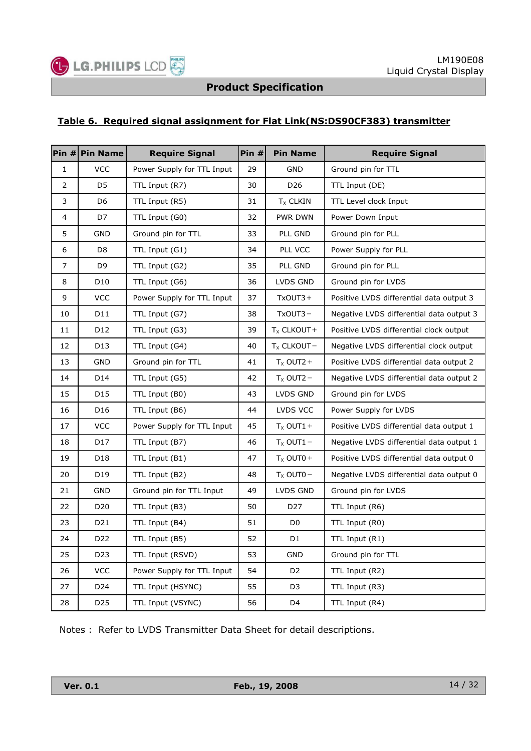

#### **Table 6. Required signal assignment for Flat Link(NS:DS90CF383) transmitter**

|                | Pin $#$ Pin Name | <b>Require Signal</b>      | Pin # | <b>Pin Name</b>      | <b>Require Signal</b>                    |
|----------------|------------------|----------------------------|-------|----------------------|------------------------------------------|
| $\mathbf{1}$   | <b>VCC</b>       | Power Supply for TTL Input | 29    | <b>GND</b>           | Ground pin for TTL                       |
| $\overline{2}$ | D <sub>5</sub>   | TTL Input (R7)             | 30    | D <sub>26</sub>      | TTL Input (DE)                           |
| 3              | D6               | TTL Input (R5)             | 31    | T <sub>x</sub> CLKIN | TTL Level clock Input                    |
| 4              | D7               | TTL Input (G0)             | 32    | <b>PWR DWN</b>       | Power Down Input                         |
| 5              | <b>GND</b>       | Ground pin for TTL         | 33    | PLL GND              | Ground pin for PLL                       |
| 6              | D <sub>8</sub>   | TTL Input (G1)             | 34    | PLL VCC              | Power Supply for PLL                     |
| 7              | D9               | TTL Input (G2)             | 35    | PLL GND              | Ground pin for PLL                       |
| 8              | D <sub>10</sub>  | TTL Input (G6)             | 36    | LVDS GND             | Ground pin for LVDS                      |
| 9              | <b>VCC</b>       | Power Supply for TTL Input | 37    | $TxOUT3+$            | Positive LVDS differential data output 3 |
| 10             | D11              | TTL Input (G7)             | 38    | $TxOUT3 -$           | Negative LVDS differential data output 3 |
| 11             | D12              | TTL Input (G3)             | 39    | $T_X$ CLKOUT +       | Positive LVDS differential clock output  |
| 12             | D13              | TTL Input (G4)             | 40    | $T_X$ CLKOUT-        | Negative LVDS differential clock output  |
| 13             | GND              | Ground pin for TTL         | 41    | $T_X$ OUT2+          | Positive LVDS differential data output 2 |
| 14             | D14              | TTL Input (G5)             | 42    | $T_x$ OUT2 $-$       | Negative LVDS differential data output 2 |
| 15             | D15              | TTL Input (B0)             | 43    | LVDS GND             | Ground pin for LVDS                      |
| 16             | D <sub>16</sub>  | TTL Input (B6)             | 44    | LVDS VCC             | Power Supply for LVDS                    |
| 17             | <b>VCC</b>       | Power Supply for TTL Input | 45    | $T_x$ OUT1 +         | Positive LVDS differential data output 1 |
| 18             | D17              | TTL Input (B7)             | 46    | $T_x$ OUT1 -         | Negative LVDS differential data output 1 |
| 19             | D <sub>18</sub>  | TTL Input (B1)             | 47    | $T_x$ OUT0+          | Positive LVDS differential data output 0 |
| 20             | D19              | TTL Input (B2)             | 48    | $T_x$ OUT0 $-$       | Negative LVDS differential data output 0 |
| 21             | GND              | Ground pin for TTL Input   | 49    | LVDS GND             | Ground pin for LVDS                      |
| 22             | D <sub>20</sub>  | TTL Input (B3)             | 50    | D <sub>27</sub>      | TTL Input (R6)                           |
| 23             | D <sub>21</sub>  | TTL Input (B4)             | 51    | D <sub>0</sub>       | TTL Input (R0)                           |
| 24             | D <sub>22</sub>  | TTL Input (B5)             | 52    | D1                   | TTL Input (R1)                           |
| 25             | D <sub>23</sub>  | TTL Input (RSVD)           | 53    | <b>GND</b>           | Ground pin for TTL                       |
| 26             | <b>VCC</b>       | Power Supply for TTL Input | 54    | D <sub>2</sub>       | TTL Input (R2)                           |
| 27             | D <sub>24</sub>  | TTL Input (HSYNC)          | 55    | D <sub>3</sub>       | TTL Input (R3)                           |
| 28             | D25              | TTL Input (VSYNC)          | 56    | D <sub>4</sub>       | TTL Input (R4)                           |

Notes : Refer to LVDS Transmitter Data Sheet for detail descriptions.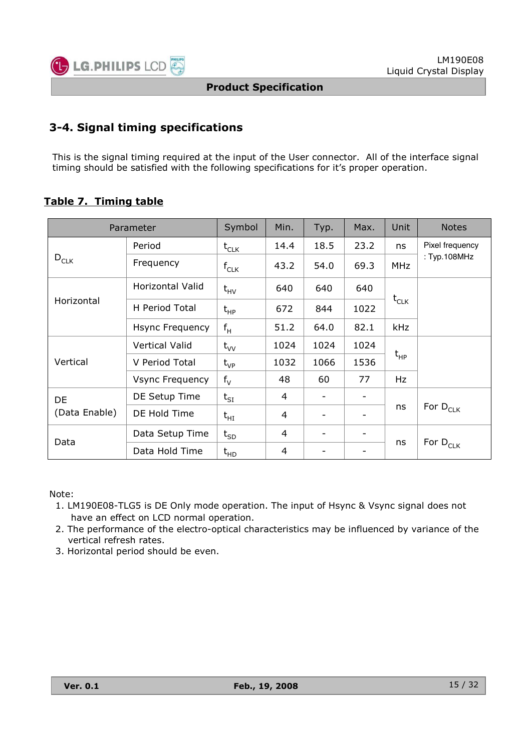

## **3-4. Signal timing specifications**

This is the signal timing required at the input of the User connector. All of the interface signal timing should be satisfied with the following specifications for it's proper operation.

## **Table 7. Timing table**

|               | Parameter               | Symbol                      | Min. | Typ.                         | Max.                     | Unit       | <b>Notes</b>                    |
|---------------|-------------------------|-----------------------------|------|------------------------------|--------------------------|------------|---------------------------------|
|               | Period                  | $\mathsf{t}_{\mathsf{CLK}}$ | 14.4 | 18.5                         | 23.2                     | ns         | Pixel frequency                 |
| $D_{CLK}$     | Frequency               | $f_{CLK}$                   | 43.2 | 54.0                         | 69.3                     | <b>MHz</b> | : Typ.108MHz                    |
|               | <b>Horizontal Valid</b> | $t_{HV}$                    | 640  | 640                          | 640                      | $t_{CLK}$  |                                 |
| Horizontal    | H Period Total          | $t_{HP}$                    | 672  | 844                          | 1022                     |            |                                 |
|               | Hsync Frequency         | $f_H$                       | 51.2 | 64.0                         | 82.1                     | <b>kHz</b> |                                 |
|               | Vertical Valid          | $t_{VV}$                    | 1024 | 1024                         | 1024                     |            |                                 |
| Vertical      | V Period Total          | $t_{VP}$                    | 1032 | 1066                         | 1536                     | $t_{HP}$   |                                 |
|               | <b>Vsync Frequency</b>  | $f_V$                       | 48   | 60                           | 77                       | Hz         |                                 |
| DE            | DE Setup Time           | $t_{SI}$                    | 4    | $\qquad \qquad \blacksquare$ | $\overline{\phantom{0}}$ |            |                                 |
| (Data Enable) | DE Hold Time            | $t_{HI}$                    | 4    | $\qquad \qquad$              | $\overline{\phantom{a}}$ | ns         | For D <sub>CLK</sub>            |
| Data          | Data Setup Time         | $t_{SD}$                    | 4    | $\overline{\phantom{0}}$     | $\overline{\phantom{a}}$ |            |                                 |
|               | Data Hold Time          | $t_{HD}$                    | 4    | -                            | -                        | ns         | For $\mathsf{D}_{\mathsf{CLK}}$ |

Note:

- 1. LM190E08-TLG5 is DE Only mode operation. The input of Hsync & Vsync signal does not have an effect on LCD normal operation.
- 2. The performance of the electro-optical characteristics may be influenced by variance of the vertical refresh rates.
- 3. Horizontal period should be even.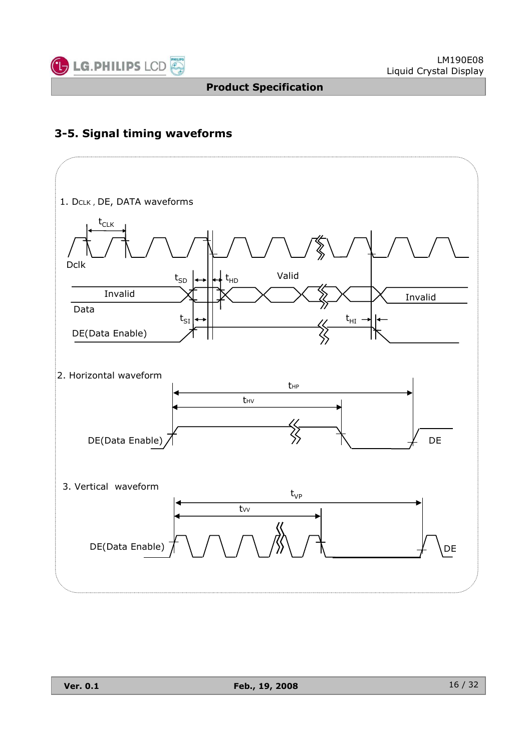

## **3-5. Signal timing waveforms**

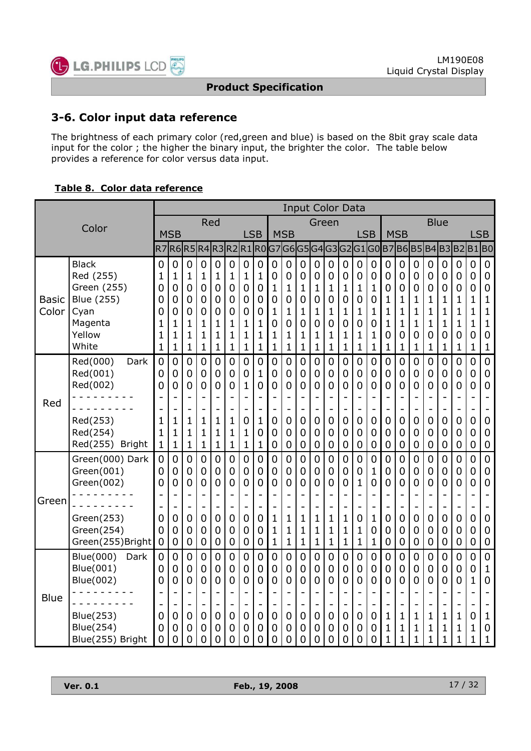

## **3-6. Color input data reference**

The brightness of each primary color (red,green and blue) is based on the 8bit gray scale data input for the color ; the higher the binary input, the brighter the color. The table below provides a reference for color versus data input.

#### **Table 8. Color data reference**

|                       |                                                                                              |                                         | <b>Input Color Data</b>                                      |                                                                                |                                                                                    |                                                                            |                                      |                                                                                                                                  |                                                                          |                                                        |                                                                                 |                                                                                                                      |                                                |                                                                                                              |                                                                                                                 |                                                                  |                                      |                                                                                                           |                                                                                                 |                                                                                      |                                                                    |                                                                                            |                                                |                                                                              |                                                                                                   |
|-----------------------|----------------------------------------------------------------------------------------------|-----------------------------------------|--------------------------------------------------------------|--------------------------------------------------------------------------------|------------------------------------------------------------------------------------|----------------------------------------------------------------------------|--------------------------------------|----------------------------------------------------------------------------------------------------------------------------------|--------------------------------------------------------------------------|--------------------------------------------------------|---------------------------------------------------------------------------------|----------------------------------------------------------------------------------------------------------------------|------------------------------------------------|--------------------------------------------------------------------------------------------------------------|-----------------------------------------------------------------------------------------------------------------|------------------------------------------------------------------|--------------------------------------|-----------------------------------------------------------------------------------------------------------|-------------------------------------------------------------------------------------------------|--------------------------------------------------------------------------------------|--------------------------------------------------------------------|--------------------------------------------------------------------------------------------|------------------------------------------------|------------------------------------------------------------------------------|---------------------------------------------------------------------------------------------------|
|                       | Color                                                                                        |                                         |                                                              |                                                                                |                                                                                    | Red                                                                        |                                      |                                                                                                                                  |                                                                          |                                                        |                                                                                 |                                                                                                                      | Green                                          |                                                                                                              |                                                                                                                 |                                                                  |                                      |                                                                                                           |                                                                                                 |                                                                                      |                                                                    | <b>Blue</b>                                                                                |                                                |                                                                              |                                                                                                   |
|                       |                                                                                              |                                         | <b>MSB</b>                                                   |                                                                                |                                                                                    |                                                                            |                                      | <b>LSB</b>                                                                                                                       |                                                                          |                                                        | <b>MSB</b>                                                                      |                                                                                                                      |                                                |                                                                                                              |                                                                                                                 | <b>LSB</b>                                                       |                                      |                                                                                                           | <b>MSB</b>                                                                                      |                                                                                      |                                                                    |                                                                                            |                                                | <b>LSB</b>                                                                   |                                                                                                   |
|                       |                                                                                              | R <sub>7</sub>                          | R6l                                                          | R <sub>5</sub>                                                                 |                                                                                    |                                                                            | R4R3R2R1R0                           |                                                                                                                                  |                                                                          |                                                        |                                                                                 |                                                                                                                      |                                                |                                                                                                              | G7 G6 G5 G4 G3 G2 G1 G0                                                                                         |                                                                  |                                      |                                                                                                           | <b>B7B6B5</b>                                                                                   |                                                                                      |                                                                    | B4B3B2B1                                                                                   |                                                |                                                                              | B <sub>0</sub>                                                                                    |
| <b>Basic</b><br>Color | <b>Black</b><br>Red (255)<br>Green (255)<br>Blue (255)<br>Cyan<br>Magenta<br>Yellow<br>White | 0<br>1<br>0<br>0<br>0<br>1<br>1<br>1    | 0<br>1<br>0<br>0<br>0<br>1<br>1<br>1                         | $\mathbf 0$<br>1<br>$\mathbf 0$<br>0<br>0<br>$\mathbf{1}$<br>$\mathbf{1}$<br>1 | $\mathbf 0$<br>1<br>0<br>0<br>0<br>$\mathbf 1$<br>$\mathbf{1}$<br>$\mathbf 1$      | 0<br>1<br>0<br>0<br>0<br>1<br>1<br>1                                       | 0<br>1<br>0<br>0<br>0<br>1<br>1<br>1 | $\mathbf 0$<br>1<br>$\mathbf 0$<br>$\mathbf 0$<br>0<br>$\mathbf{1}$<br>1<br>$\mathbf{1}$                                         | 0<br>1<br>$\mathbf 0$<br>$\mathbf 0$<br>0<br>1<br>1<br>1                 | $\mathbf 0$<br>0<br>1<br>0<br>1<br>0<br>1<br>1         | 0<br>0<br>$\mathbf 1$<br>0<br>1<br>0<br>1<br>$\mathbf 1$                        | 0<br>0<br>$\mathbf{1}$<br>$\overline{0}$<br>1<br>0<br>1<br>$\mathbf{1}$                                              | 0<br>0<br>1<br>0<br>1<br>0<br>1<br>1           | $\mathbf 0$<br>$\mathbf 0$<br>1<br>$\overline{0}$<br>1<br>0<br>1<br>$\mathbf 1$                              | $\mathbf 0$<br>0<br>1<br>0<br>1<br>0<br>1<br>$\mathbf 1$                                                        | $\boldsymbol{0}$<br>0<br>1<br>0<br>1<br>0<br>1<br>1              | 0<br>0<br>1<br>0<br>1<br>0<br>1<br>1 | 0<br>0<br>0<br>$\mathbf 1$<br>$\mathbf 1$<br>$\mathbf 1$<br>0<br>$\mathbf 1$                              | 0<br>$\overline{0}$<br>0<br>1<br>1<br>$\mathbf{1}$<br>0<br>1                                    | 0<br>0<br>$\mathbf 0$<br>1<br>1<br>1<br>0<br>1                                       | $\mathbf 0$<br>0<br>0<br>1<br>1<br>$\mathbf 1$<br>0<br>$\mathbf 1$ | 0<br>0<br>0<br>1<br>1<br>1<br>0<br>1                                                       | 0<br>0<br>0<br>1<br>1<br>$\mathbf 1$<br>0<br>1 | $\mathbf 0$<br>0<br>0<br>$\mathbf 1$<br>1<br>$\mathbf 1$<br>0<br>$\mathbf 1$ | $\mathbf 0$<br>$\mathbf 0$<br>$\mathbf 0$<br>1<br>1<br>$\mathbf 1$<br>$\mathbf 0$<br>$\mathbf{1}$ |
| Red                   | Red(000)<br>Dark<br>Red(001)<br>Red(002)<br>Red(253)<br>Red(254)<br>Red(255) Bright          | $\overline{0}$<br>0<br>0<br>1<br>1<br>1 | $\overline{0}$<br>0<br>0<br>$\mathbf{1}$<br>$\mathbf 1$<br>1 | $\overline{0}$<br>0<br>0<br>-<br>1<br>1<br>$\mathbf 1$                         | 0<br>$\mathbf 0$<br>0<br>÷<br>$\overline{a}$<br>$\mathbf 1$<br>1<br>$\mathbf 1$    | 0<br>$\mathbf 0$<br>0<br>$\overline{\phantom{0}}$<br>1<br>$\mathbf 1$<br>1 | 0<br>0<br>0<br>1<br>1<br>1           | $\overline{0}$<br>$\mathbf 0$<br>$\mathbf{1}$<br>L.<br>$\overline{\phantom{0}}$<br>$\overline{0}$<br>$\mathbf{1}$<br>$\mathbf 1$ | $\mathbf 0$<br>$\mathbf{1}$<br>$\overline{0}$<br>۰<br>1<br>0<br>1        | $\overline{0}$<br>0<br>0<br>$\mathbf 0$<br>0<br>0      | 0<br>0<br>0<br>$\overline{a}$<br>0<br>0<br>0                                    | $\overline{0}$<br>0<br>$\overline{0}$<br>$\overline{\phantom{0}}$<br>$\overline{0}$<br>$\overline{0}$<br>$\mathbf 0$ | $\mathbf 0$<br>0<br>0<br>0<br>0<br>0           | $\overline{0}$<br>$\mathbf 0$<br>0<br>$\qquad \qquad \blacksquare$<br>$\mathbf 0$<br>0<br>$\mathbf 0$        | $\overline{0}$<br>$\mathbf 0$<br>0<br>۰<br>$\qquad \qquad \blacksquare$<br>$\mathbf 0$<br>0<br>$\boldsymbol{0}$ | $\overline{0}$<br>$\mathbf 0$<br>0<br>0<br>0<br>0                | 0<br>0<br>0<br>0<br>0<br>0           | $\overline{0}$<br>$\mathbf 0$<br>$\overline{0}$<br>۳<br>-<br>$\overline{0}$<br>$\mathbf 0$<br>$\mathbf 0$ | $\overline{0}$<br>$\mathbf 0$<br>$\overline{0}$<br>$\overline{0}$<br>$\mathbf 0$<br>$\mathbf 0$ | $\mathbf 0$<br>$\boldsymbol{0}$<br>$\overline{0}$<br>$\mathbf 0$<br>$\mathbf 0$<br>0 | $\overline{0}$<br>0<br>0<br>-<br>0<br>0<br>$\mathbf 0$             | $\overline{0}$<br>0<br>0<br>$\overline{\phantom{a}}$<br>$\overline{0}$<br>0<br>$\mathbf 0$ | $\overline{0}$<br>0<br>0<br>0<br>0<br>0        | 0<br>$\mathbf 0$<br>0<br>$\mathbf 0$<br>$\mathbf 0$<br>$\mathbf 0$           | $\mathbf 0$<br>$\mathbf 0$<br>$\overline{0}$<br>$\mathbf 0$<br>$\mathbf 0$<br>$\mathbf 0$         |
| Green                 | Green(000) Dark<br>Green(001)<br>Green(002)<br>Green(253)<br>Green(254)<br>Green(255)Bright  | 0<br>0<br>0<br>0<br>0<br>0              | $\mathbf 0$<br>0<br>0<br>0<br>0<br>0                         | $\mathbf 0$<br>0<br>0<br>$\overline{a}$<br>0<br>0<br>0                         | 0<br>0<br>0<br>$\overline{\phantom{0}}$<br>$\overline{\phantom{0}}$<br>0<br>0<br>0 | 0<br>0<br>0<br>0<br>0<br>0                                                 | 0<br>0<br>0<br>0<br>0<br>0           | $\overline{0}$<br>$\overline{0}$<br>0<br>L,<br>$\overline{\phantom{0}}$<br>$\overline{0}$<br>0<br>$\mathbf 0$                    | $\overline{0}$<br>0<br>0<br>$\overline{a}$<br>۰<br>0<br>0<br>$\mathbf 0$ | 0<br>0<br>0<br>$\overline{\phantom{0}}$<br>1<br>1<br>1 | 0<br>0<br>0<br>$\qquad \qquad -$<br>$\mathbf{1}$<br>$\mathbf{1}$<br>$\mathbf 1$ | 0<br>0<br>0<br>$\blacksquare$<br>$\overline{\phantom{a}}$<br>$\mathbf{1}$<br>$\mathbf{1}$<br>$\mathbf{1}$            | $\mathbf 0$<br>0<br>0<br>1<br>1<br>$\mathbf 1$ | $\overline{0}$<br>$\mathbf 0$<br>0<br>$\overline{\phantom{0}}$<br>$\mathbf 1$<br>$\mathbf{1}$<br>$\mathbf 1$ | 0<br>0<br>0<br>$\overline{\phantom{0}}$<br>$\overline{\phantom{0}}$<br>$\mathbf 1$<br>1<br>$\mathbf 1$          | 0<br>0<br>1<br>$\overline{\phantom{0}}$<br>0<br>1<br>$\mathbf 1$ | 0<br>1<br>0<br>1<br>0<br>1           | $\overline{0}$<br>$\overline{0}$<br>0<br>L<br>$\overline{a}$<br>0<br>0<br>$\mathbf 0$                     | $\overline{0}$<br>$\mathbf 0$<br>0<br>۳<br>0<br>0<br>0                                          | 0<br>$\mathbf 0$<br>0<br>0<br>0<br>0                                                 | 0<br>0<br>0<br>-<br>0<br>0<br>0                                    | 0<br>0<br>0<br>$\overline{\phantom{a}}$<br>$\overline{\phantom{a}}$<br>0<br>0<br>0         | $\mathbf 0$<br>0<br>0<br>0<br>0<br>0           | $\mathbf 0$<br>0<br>0<br>0<br>0<br>0                                         | $\mathbf 0$<br>$\mathbf 0$<br>0<br>0<br>$\overline{0}$<br>$\overline{0}$                          |
| <b>Blue</b>           | Blue(000)<br>Dark<br>Blue(001)<br>Blue(002)<br>Blue(253)<br>Blue(254)<br>Blue(255) Bright    | 0<br>0<br>0<br>0<br>0<br>0              | 0<br>0<br>0<br>0<br>0<br>0                                   | 0<br>0<br>0<br>$\overline{a}$<br>0<br>0<br>0                                   | 0<br>0<br>0<br>$\blacksquare$<br>$\overline{0}$<br>0<br>0                          | 0<br>0<br>0<br>0<br>0<br>0                                                 | 0<br>0<br>0<br>0<br>0<br>0           | 0<br>0<br>0<br>$\overline{\phantom{0}}$<br>$\mathbf 0$<br>0<br>0                                                                 | $\overline{0}$<br>0<br>0<br>$\overline{\phantom{0}}$<br>0<br>0<br>0      | $\mathbf 0$<br>0<br>0<br>0<br>0<br>0                   | 0<br>0<br>0<br>$\qquad \qquad -$<br>0<br>0<br>0                                 | 0<br>0<br>0<br>$\overline{\phantom{0}}$<br>0<br>0<br>0                                                               | 0<br>0<br>0<br>0<br>0<br>0                     | $\overline{0}$<br>0<br>0<br>$\overline{\phantom{0}}$<br>0<br>0<br>0                                          | 0<br>0<br>0<br>$\qquad \qquad -$<br>0<br>0<br>0                                                                 | 0<br>0<br>0<br>$\overline{\phantom{0}}$<br>0<br>0<br>0           | 0<br>0<br>0<br>0<br>0<br>0           | 0<br>0<br>0<br>$\overline{a}$<br>$\mathbf 1$<br>1<br>1                                                    | 0<br>$\overline{0}$<br>0<br>1<br>$\mathbf{1}$<br>1                                              | 0<br>0<br>0<br>1<br>1                                                                | 0<br>0<br>0<br>-<br>1<br>1<br>1                                    | 0<br>0<br>0<br>$\overline{\phantom{a}}$<br>1<br>1<br>$\mathbf 1$                           | 0<br>0<br>0<br>1<br>1<br>1                     | 0<br>0<br>$\mathbf{1}$<br>L,<br>0<br>1<br>$\mathbf 1$                        | $\overline{0}$<br>1<br>0<br>$\mathbf{1}$<br>$\mathbf 0$<br>$\mathbf 1$                            |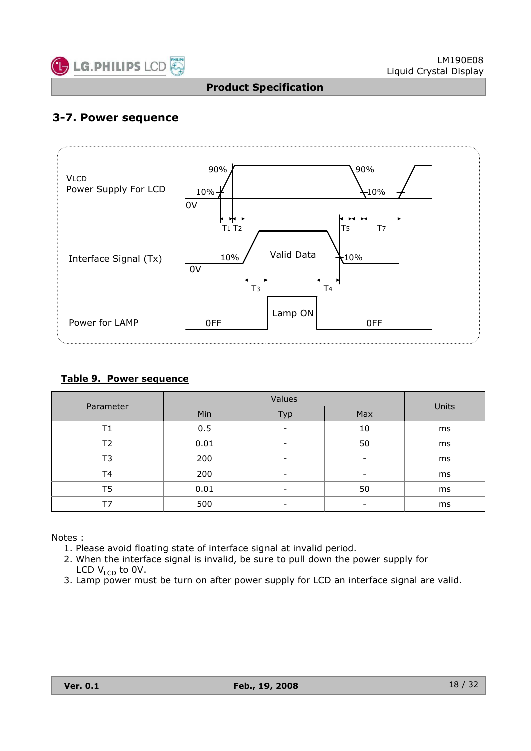

## **3-7. Power sequence**



#### **Table 9. Power sequence**

|           |      | Units                    |                          |    |
|-----------|------|--------------------------|--------------------------|----|
| Parameter | Min  | Typ                      | Max                      |    |
| Τ1        | 0.5  |                          | 10                       | ms |
| Τ2        | 0.01 | -                        | 50                       | ms |
| T3        | 200  | -                        | -                        | ms |
| T4        | 200  |                          | $\overline{\phantom{a}}$ | ms |
| T5        | 0.01 | $\overline{\phantom{0}}$ | 50                       | ms |
| Т7        | 500  | -                        | -                        | ms |

Notes :

- 1. Please avoid floating state of interface signal at invalid period.
- 2. When the interface signal is invalid, be sure to pull down the power supply for LCD  $V_{\text{LCD}}$  to 0V.
- 3. Lamp power must be turn on after power supply for LCD an interface signal are valid.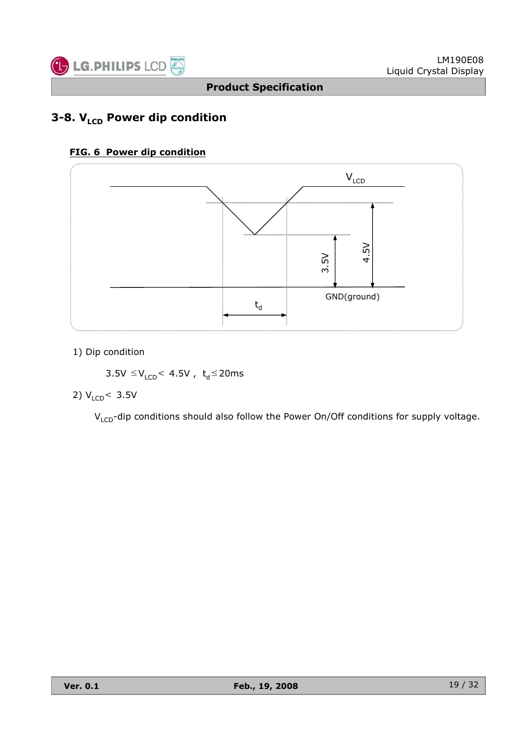

## **3-8. V<sub>LCD</sub> Power dip condition**

#### **FIG. 6 Power dip condition**



1) Dip condition

 $3.5V \leq V_{LCD}$  4.5V,  $t_d \leq 20ms$ 

#### 2)  $V_{LCD}$  < 3.5V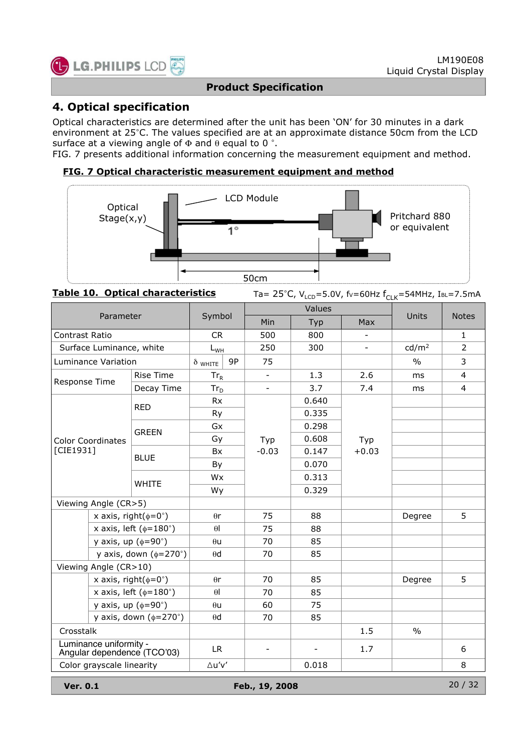

## **4. Optical specification**

Optical characteristics are determined after the unit has been 'ON' for 30 minutes in a dark environment at 25°C. The values specified are at an approximate distance 50cm from the LCD surface at a viewing angle of  $\Phi$  and  $\theta$  equal to 0 °.

FIG. 7 presents additional information concerning the measurement equipment and method.

#### **FIG. 7 Optical characteristic measurement equipment and method**



Table 10. Optical characteristics Ta= 25°C, V<sub>LCD</sub>=5.0V, fv=60Hz f<sub>CLK</sub>=54MHz, IBL=7.5mA

|                                                       | Parameter                      |                                     | Symbol               |                          | Values |                          | Units             | <b>Notes</b>   |
|-------------------------------------------------------|--------------------------------|-------------------------------------|----------------------|--------------------------|--------|--------------------------|-------------------|----------------|
|                                                       |                                |                                     |                      | Min                      | Typ    | Max                      |                   |                |
| <b>Contrast Ratio</b>                                 |                                |                                     | <b>CR</b>            | 500                      | 800    | $\blacksquare$           |                   | 1              |
| Surface Luminance, white                              |                                |                                     | $L_{WH}$             | 250                      | 300    | $\overline{\phantom{a}}$ | cd/m <sup>2</sup> | $\overline{2}$ |
| Luminance Variation                                   |                                |                                     | 9P<br>$\delta$ white | 75                       |        |                          | $\frac{0}{0}$     | 3              |
|                                                       | <b>Rise Time</b><br>Decay Time |                                     | $Tr_R$               | $\overline{\phantom{a}}$ | 1.3    | 2.6                      | <sub>ms</sub>     | $\overline{4}$ |
| Response Time                                         |                                |                                     | $Tr_D$               | $\blacksquare$           | 3.7    | 7.4                      | ms                | $\overline{4}$ |
|                                                       |                                | <b>RED</b>                          | <b>Rx</b>            |                          | 0.640  |                          |                   |                |
|                                                       |                                |                                     | Ry                   |                          | 0.335  |                          |                   |                |
|                                                       |                                | <b>GREEN</b>                        | Gx                   |                          | 0.298  |                          |                   |                |
| <b>Color Coordinates</b>                              |                                |                                     | Gy                   | Typ                      | 0.608  | Typ                      |                   |                |
| [CIE1931]                                             |                                | <b>BLUE</b>                         | <b>Bx</b>            | $-0.03$                  | 0.147  | $+0.03$                  |                   |                |
|                                                       |                                |                                     | By                   |                          | 0.070  |                          |                   |                |
|                                                       |                                | <b>WHITE</b>                        | <b>Wx</b>            |                          | 0.313  |                          |                   |                |
|                                                       |                                |                                     | Wy                   |                          | 0.329  |                          |                   |                |
| Viewing Angle (CR>5)                                  |                                |                                     |                      |                          |        |                          |                   |                |
|                                                       |                                | x axis, right( $\phi = 0^{\circ}$ ) | $\theta$ r           | 75                       | 88     |                          | Degree            | 5              |
|                                                       |                                | x axis, left ( $\phi$ =180°)        | $\theta$             | 75                       | 88     |                          |                   |                |
|                                                       |                                | y axis, up $(\phi = 90^\circ)$      | $\theta$ u           | 70                       | 85     |                          |                   |                |
|                                                       |                                | y axis, down $(\phi=270^\circ)$     | $\theta$ d           | 70                       | 85     |                          |                   |                |
| Viewing Angle (CR>10)                                 |                                |                                     |                      |                          |        |                          |                   |                |
|                                                       |                                | x axis, right( $\phi = 0^{\circ}$ ) | $\theta$ r           | 70                       | 85     |                          | Degree            | 5              |
|                                                       |                                | x axis, left ( $\phi$ =180°)        | $\theta$             | 70                       | 85     |                          |                   |                |
|                                                       |                                | y axis, up $(\phi = 90^\circ)$      | $\theta$ u           | 60                       | 75     |                          |                   |                |
|                                                       |                                | y axis, down $(\phi=270^\circ)$     | $\theta$ d           | 70                       | 85     |                          |                   |                |
| Crosstalk                                             |                                |                                     |                      |                          |        | 1.5                      | $\frac{0}{0}$     |                |
| Luminance uniformity -<br>Angular dependence (TCO'03) |                                |                                     | LR.                  | $\overline{\phantom{a}}$ |        | 1.7                      |                   | 6              |
| Color grayscale linearity                             |                                |                                     | $\Delta u'v'$        |                          | 0.018  |                          |                   | 8              |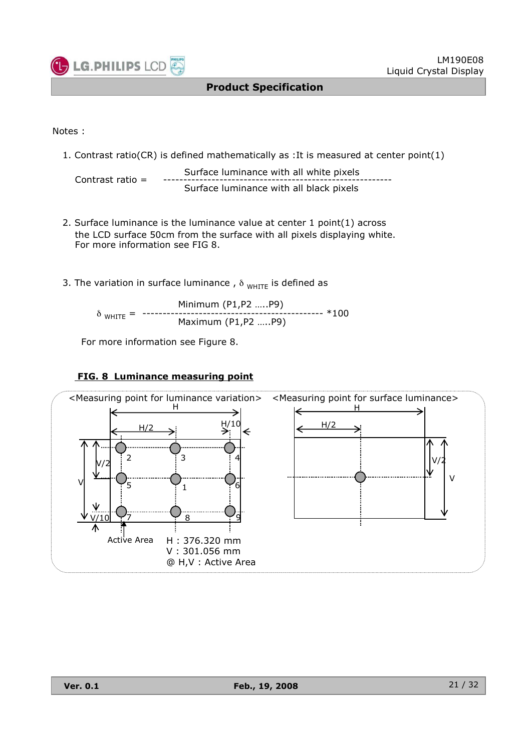

#### Notes :

1. Contrast ratio(CR) is defined mathematically as :It is measured at center point(1)

Surface luminance with all white pixels Contrast ratio = --------------------------------------------------------- Surface luminance with all black pixels

- 2. Surface luminance is the luminance value at center 1 point(1) across the LCD surface 50cm from the surface with all pixels displaying white. For more information see FIG 8.
- 3. The variation in surface luminance,  $\delta$  white is defined as

Minimum (P1,P2 …..P9) δ WHITE = --------------------------------------------- \*100 Maximum (P1,P2 …..P9)

For more information see Figure 8.

#### **FIG. 8 Luminance measuring point**

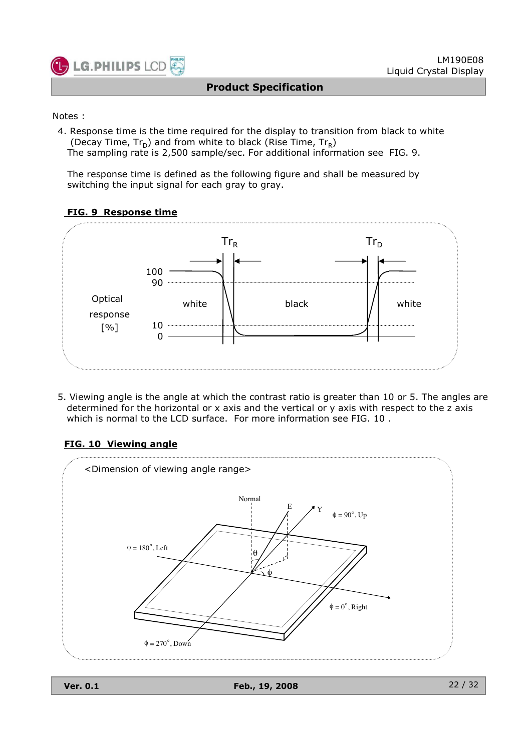

#### Notes :

4. Response time is the time required for the display to transition from black to white (Decay Time,  $Tr_D$ ) and from white to black (Rise Time,  $Tr_R$ ) The sampling rate is 2,500 sample/sec. For additional information see FIG. 9.

The response time is defined as the following figure and shall be measured by switching the input signal for each gray to gray.

#### **FIG. 9 Response time**



5. Viewing angle is the angle at which the contrast ratio is greater than 10 or 5. The angles are determined for the horizontal or x axis and the vertical or y axis with respect to the z axis which is normal to the LCD surface. For more information see FIG. 10 .

#### **FIG. 10 Viewing angle**

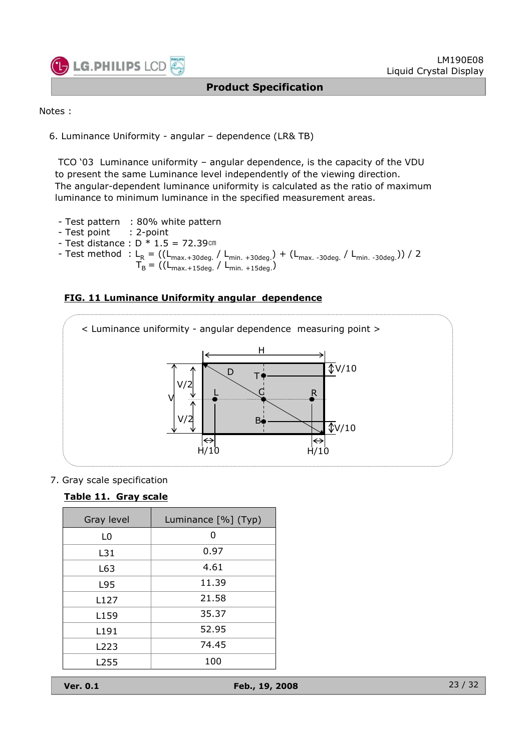

```
Notes :
```
6. Luminance Uniformity - angular – dependence (LR& TB)

TCO '03 Luminance uniformity – angular dependence, is the capacity of the VDU to present the same Luminance level independently of the viewing direction. The angular-dependent luminance uniformity is calculated as the ratio of maximum luminance to minimum luminance in the specified measurement areas.

- Test pattern : 80% white pattern
- Test point : 2-point
- Test distance :  $D * 1.5 = 72.39$ cm
- Test method : L<sub>R</sub> = ((L<sub>max.+30deg.</sub> / L<sub>min. +30deg.</sub>) + (L<sub>max.-30deg.</sub> / L<sub>min.-30deg.</sub>)) / 2  $T_B = ((L_{\text{max.+15deg.}} / L_{\text{min. +15deg.}}))$





7. Gray scale specification

#### **Table 11. Gray scale**

| Gray level       | Luminance [%] (Typ) |
|------------------|---------------------|
| L0               | O                   |
| L31              | 0.97                |
| L63              | 4.61                |
| L95              | 11.39               |
| L127             | 21.58               |
| L <sub>159</sub> | 35.37               |
| L <sub>191</sub> | 52.95               |
| L223             | 74.45               |
| L255             | 100                 |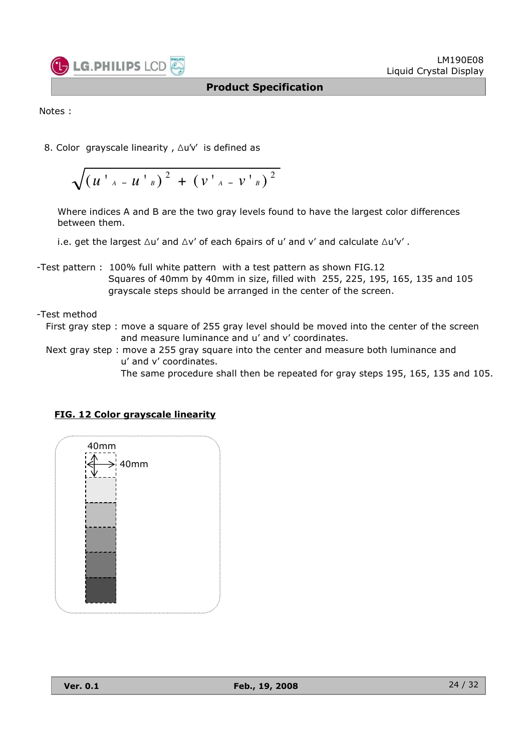

Notes :

8. Color grayscale linearity, ∆u'v' is defined as

$$
\sqrt{\left(u^{\top}{}_{A}-u^{\top}{}_{B}\right)^{2}+\left(v^{\top}{}_{A}-v^{\top}{}_{B}\right)^{2}}
$$

Where indices A and B are the two gray levels found to have the largest color differences between them.

i.e. get the largest  $\Delta u'$  and  $\Delta v'$  of each 6pairs of u' and v' and calculate  $\Delta u'v'$ .

- -Test pattern : 100% full white pattern with a test pattern as shown FIG.12 Squares of 40mm by 40mm in size, filled with 255, 225, 195, 165, 135 and 105 grayscale steps should be arranged in the center of the screen.
- -Test method
	- First gray step : move a square of 255 gray level should be moved into the center of the screen and measure luminance and u' and v' coordinates.
	- Next gray step : move a 255 gray square into the center and measure both luminance and u' and v' coordinates.

The same procedure shall then be repeated for gray steps 195, 165, 135 and 105.

| 40mm                  |  |
|-----------------------|--|
|                       |  |
| $\overline{A}$ > 40mm |  |
|                       |  |
|                       |  |
|                       |  |
|                       |  |
|                       |  |
|                       |  |
|                       |  |
|                       |  |
|                       |  |
|                       |  |
|                       |  |
|                       |  |
|                       |  |
|                       |  |
|                       |  |
|                       |  |
|                       |  |
|                       |  |
|                       |  |
|                       |  |
|                       |  |

#### **FIG. 12 Color grayscale linearity**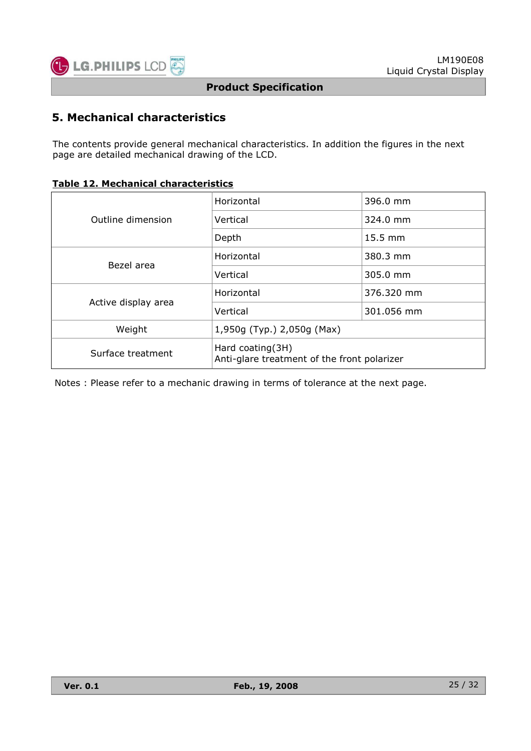

## **5. Mechanical characteristics**

The contents provide general mechanical characteristics. In addition the figures in the next page are detailed mechanical drawing of the LCD.

|  |  |  | <b>Table 12. Mechanical characteristics</b> |
|--|--|--|---------------------------------------------|
|--|--|--|---------------------------------------------|

|                                                                                      | Horizontal                 | 396.0 mm             |  |  |  |  |
|--------------------------------------------------------------------------------------|----------------------------|----------------------|--|--|--|--|
| Outline dimension                                                                    | Vertical                   | $324.0 \text{ mm}$   |  |  |  |  |
|                                                                                      | Depth                      | $15.5 \text{ mm}$    |  |  |  |  |
| Bezel area                                                                           | Horizontal                 | 380.3 mm             |  |  |  |  |
|                                                                                      | Vertical                   | $305.0 \; \text{mm}$ |  |  |  |  |
|                                                                                      | Horizontal                 | 376.320 mm           |  |  |  |  |
| Active display area                                                                  | Vertical                   | 301.056 mm           |  |  |  |  |
| Weight                                                                               | 1,950g (Typ.) 2,050g (Max) |                      |  |  |  |  |
| Hard coating(3H)<br>Surface treatment<br>Anti-glare treatment of the front polarizer |                            |                      |  |  |  |  |

Notes : Please refer to a mechanic drawing in terms of tolerance at the next page.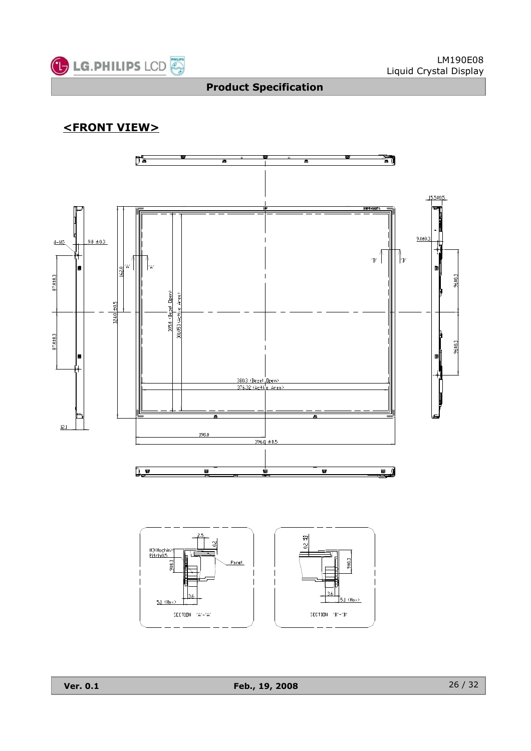

## **<FRONT VIEW>**

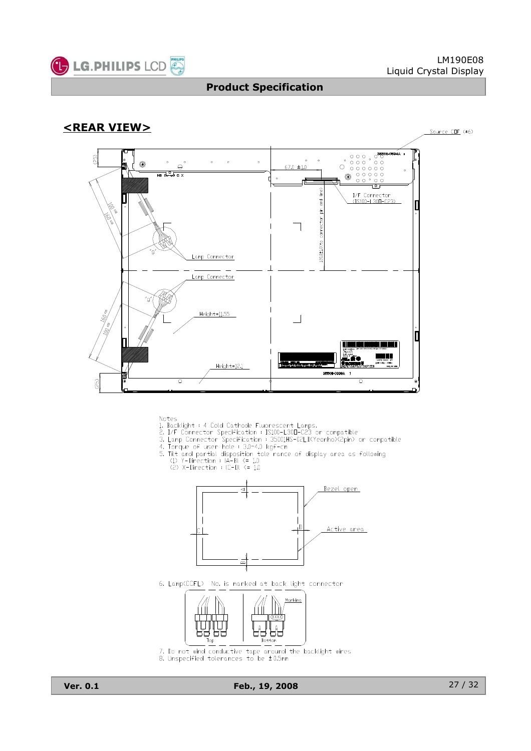





- 
- 
- 
- 
- Notes<br>
1. Backlight : 4 Cold Cathode Fluorescent Lamps.<br>
2. I/F Connector Specification : IS100-L30D-C23 or compatible<br>
3. Lamp Connector Specification : 35001HS-02LD(Yeonho)<2pin) or compatible<br>
4. Torque of user hole : 3
	-



6. Lamp(CCFL) No. is marked at back light connector



7. Do not wind conductive tape  $\frac{1}{2}$  around the backlight wires<br>8. Unspecified tolerances to be  $\pm$  0.5mm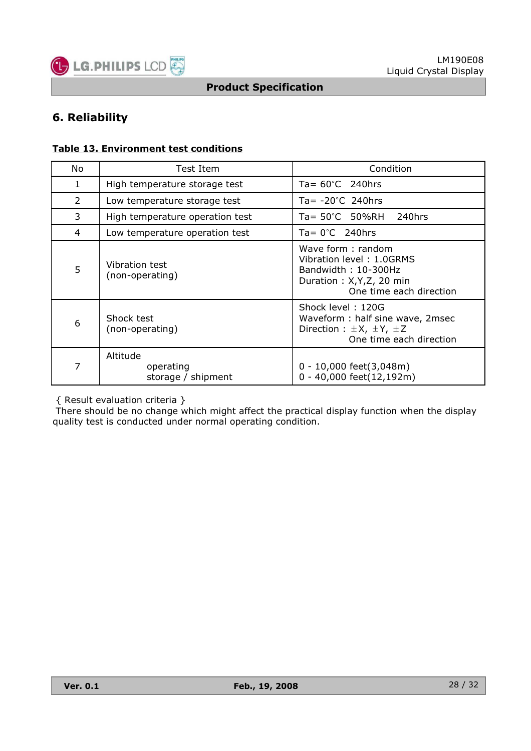

## **6. Reliability**

#### **Table 13. Environment test conditions**

| No. | Test Item                                   | Condition                                                                                                                    |
|-----|---------------------------------------------|------------------------------------------------------------------------------------------------------------------------------|
| 1   | High temperature storage test               | Ta= $60^{\circ}$ C 240hrs                                                                                                    |
| 2   | Low temperature storage test                | Ta= $-20^{\circ}$ C 240hrs                                                                                                   |
| 3   | High temperature operation test             | Ta= 50°C 50%RH<br>240hrs                                                                                                     |
| 4   | Low temperature operation test              | $Ta = 0^{\circ}C$ 240hrs                                                                                                     |
| 5   | Vibration test<br>(non-operating)           | Wave form: random<br>Vibration level: 1.0GRMS<br>Bandwidth: 10-300Hz<br>Duration: X, Y, Z, 20 min<br>One time each direction |
| 6   | Shock test<br>(non-operating)               | Shock level: 120G<br>Waveform: half sine wave, 2msec<br>Direction : $\pm X$ , $\pm Y$ , $\pm Z$<br>One time each direction   |
| 7   | Altitude<br>operating<br>storage / shipment | $0 - 10,000$ feet(3,048m)<br>0 - 40,000 feet(12,192m)                                                                        |

{ Result evaluation criteria }

There should be no change which might affect the practical display function when the display quality test is conducted under normal operating condition.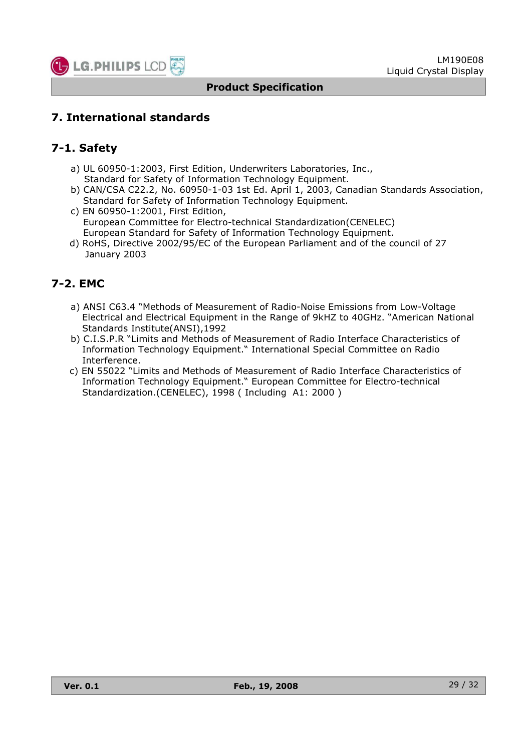

## **7. International standards**

## **7-1. Safety**

- a) UL 60950-1:2003, First Edition, Underwriters Laboratories, Inc., Standard for Safety of Information Technology Equipment.
- b) CAN/CSA C22.2, No. 60950-1-03 1st Ed. April 1, 2003, Canadian Standards Association, Standard for Safety of Information Technology Equipment.
- c) EN 60950-1:2001, First Edition, European Committee for Electro-technical Standardization(CENELEC) European Standard for Safety of Information Technology Equipment.
- d) RoHS, Directive 2002/95/EC of the European Parliament and of the council of 27 January 2003

## **7-2. EMC**

- a) ANSI C63.4 "Methods of Measurement of Radio-Noise Emissions from Low-Voltage Electrical and Electrical Equipment in the Range of 9kHZ to 40GHz. "American National Standards Institute(ANSI),1992
- b) C.I.S.P.R "Limits and Methods of Measurement of Radio Interface Characteristics of Information Technology Equipment." International Special Committee on Radio Interference.
- c) EN 55022 "Limits and Methods of Measurement of Radio Interface Characteristics of Information Technology Equipment." European Committee for Electro-technical Standardization.(CENELEC), 1998 ( Including A1: 2000 )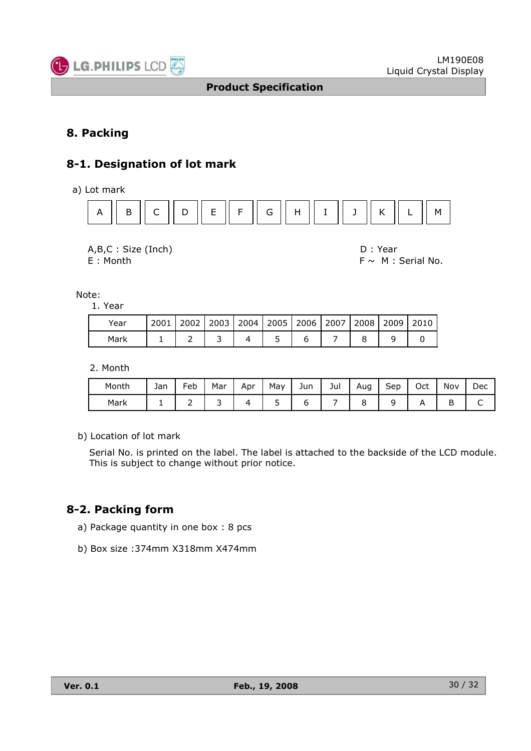

## **8. Packing**

## **8-1. Designation of lot mark**

a) Lot mark



A,B,C : Size (Inch) D : Year

 $E :$  Month F  $\sim$  M : Serial No.

Note:

1. Year

| Year | 2001 |  |  | 2002   2003   2004   2005   2006   2007   2008   2009   2010 |  |  |
|------|------|--|--|--------------------------------------------------------------|--|--|
| Mark |      |  |  |                                                              |  |  |

2. Month

| Month | Jan | $\overline{\phantom{0}}$<br>Feb | Mar | Apr | May | Jun | Jul | Aug | $\overline{\phantom{0}}$<br>Sep | Oct | Nov         | Dec |
|-------|-----|---------------------------------|-----|-----|-----|-----|-----|-----|---------------------------------|-----|-------------|-----|
| Mark  | -   | -                               | ے   |     | ۔   |     |     |     |                                 |     | ▫<br>ю<br>◡ | ֊   |

b) Location of lot mark

Serial No. is printed on the label. The label is attached to the backside of the LCD module. This is subject to change without prior notice.

## **8-2. Packing form**

- a) Package quantity in one box : 8 pcs
- b) Box size :374mm X318mm X474mm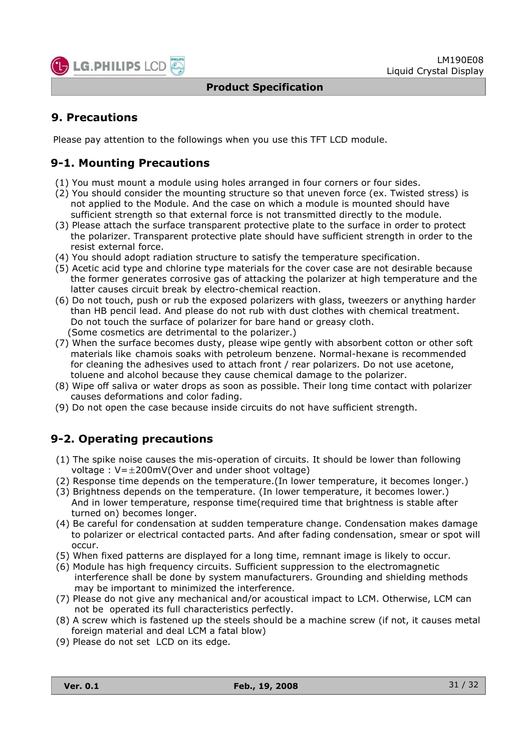

## **9. Precautions**

Please pay attention to the followings when you use this TFT LCD module.

## **9-1. Mounting Precautions**

- (1) You must mount a module using holes arranged in four corners or four sides.
- (2) You should consider the mounting structure so that uneven force (ex. Twisted stress) is not applied to the Module. And the case on which a module is mounted should have sufficient strength so that external force is not transmitted directly to the module.
- (3) Please attach the surface transparent protective plate to the surface in order to protect the polarizer. Transparent protective plate should have sufficient strength in order to the resist external force.
- (4) You should adopt radiation structure to satisfy the temperature specification.
- (5) Acetic acid type and chlorine type materials for the cover case are not desirable because the former generates corrosive gas of attacking the polarizer at high temperature and the latter causes circuit break by electro-chemical reaction.
- (6) Do not touch, push or rub the exposed polarizers with glass, tweezers or anything harder than HB pencil lead. And please do not rub with dust clothes with chemical treatment. Do not touch the surface of polarizer for bare hand or greasy cloth. (Some cosmetics are detrimental to the polarizer.)
- (7) When the surface becomes dusty, please wipe gently with absorbent cotton or other soft materials like chamois soaks with petroleum benzene. Normal-hexane is recommended for cleaning the adhesives used to attach front / rear polarizers. Do not use acetone, toluene and alcohol because they cause chemical damage to the polarizer.
- (8) Wipe off saliva or water drops as soon as possible. Their long time contact with polarizer causes deformations and color fading.
- (9) Do not open the case because inside circuits do not have sufficient strength.

## **9-2. Operating precautions**

- (1) The spike noise causes the mis-operation of circuits. It should be lower than following voltage :  $V=\pm 200$ mV(Over and under shoot voltage)
- (2) Response time depends on the temperature.(In lower temperature, it becomes longer.)
- (3) Brightness depends on the temperature. (In lower temperature, it becomes lower.) And in lower temperature, response time(required time that brightness is stable after turned on) becomes longer.
- (4) Be careful for condensation at sudden temperature change. Condensation makes damage to polarizer or electrical contacted parts. And after fading condensation, smear or spot will occur.
- (5) When fixed patterns are displayed for a long time, remnant image is likely to occur.
- (6) Module has high frequency circuits. Sufficient suppression to the electromagnetic interference shall be done by system manufacturers. Grounding and shielding methods may be important to minimized the interference.
- (7) Please do not give any mechanical and/or acoustical impact to LCM. Otherwise, LCM can not be operated its full characteristics perfectly.
- (8) A screw which is fastened up the steels should be a machine screw (if not, it causes metal foreign material and deal LCM a fatal blow)
- (9) Please do not set LCD on its edge.